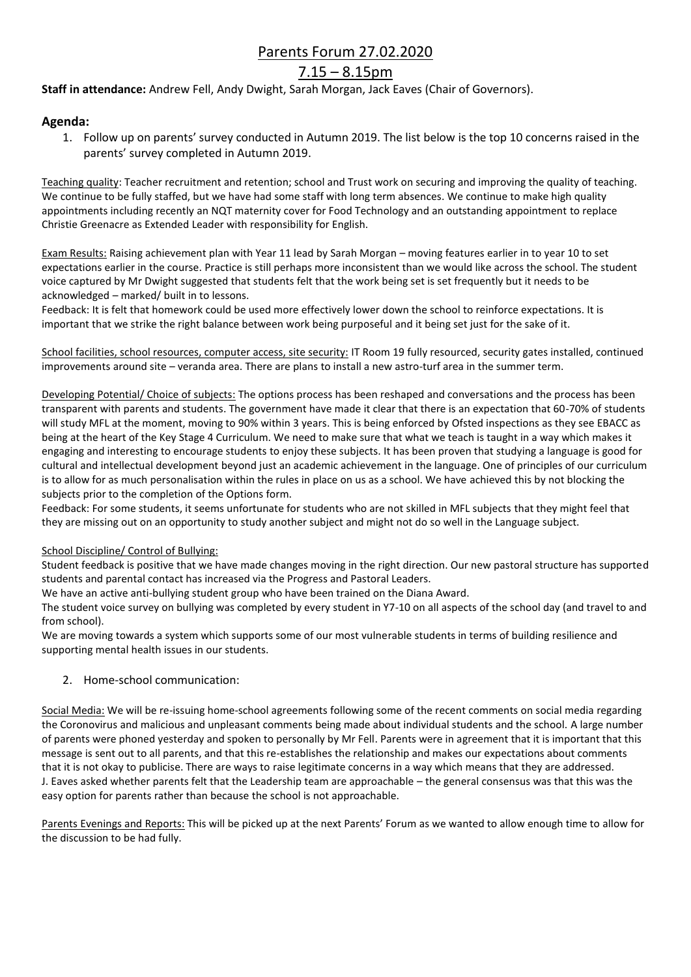## Parents Forum 27.02.2020

# $7.15 - 8.15$ pm

**Staff in attendance:** Andrew Fell, Andy Dwight, Sarah Morgan, Jack Eaves (Chair of Governors).

### **Agenda:**

1. Follow up on parents' survey conducted in Autumn 2019. The list below is the top 10 concerns raised in the parents' survey completed in Autumn 2019.

Teaching quality: Teacher recruitment and retention; school and Trust work on securing and improving the quality of teaching. We continue to be fully staffed, but we have had some staff with long term absences. We continue to make high quality appointments including recently an NQT maternity cover for Food Technology and an outstanding appointment to replace Christie Greenacre as Extended Leader with responsibility for English.

Exam Results: Raising achievement plan with Year 11 lead by Sarah Morgan – moving features earlier in to year 10 to set expectations earlier in the course. Practice is still perhaps more inconsistent than we would like across the school. The student voice captured by Mr Dwight suggested that students felt that the work being set is set frequently but it needs to be acknowledged – marked/ built in to lessons.

Feedback: It is felt that homework could be used more effectively lower down the school to reinforce expectations. It is important that we strike the right balance between work being purposeful and it being set just for the sake of it.

School facilities, school resources, computer access, site security: IT Room 19 fully resourced, security gates installed, continued improvements around site – veranda area. There are plans to install a new astro-turf area in the summer term.

Developing Potential/ Choice of subjects: The options process has been reshaped and conversations and the process has been transparent with parents and students. The government have made it clear that there is an expectation that 60-70% of students will study MFL at the moment, moving to 90% within 3 years. This is being enforced by Ofsted inspections as they see EBACC as being at the heart of the Key Stage 4 Curriculum. We need to make sure that what we teach is taught in a way which makes it engaging and interesting to encourage students to enjoy these subjects. It has been proven that studying a language is good for cultural and intellectual development beyond just an academic achievement in the language. One of principles of our curriculum is to allow for as much personalisation within the rules in place on us as a school. We have achieved this by not blocking the subjects prior to the completion of the Options form.

Feedback: For some students, it seems unfortunate for students who are not skilled in MFL subjects that they might feel that they are missing out on an opportunity to study another subject and might not do so well in the Language subject.

#### School Discipline/ Control of Bullying:

Student feedback is positive that we have made changes moving in the right direction. Our new pastoral structure has supported students and parental contact has increased via the Progress and Pastoral Leaders.

We have an active anti-bullying student group who have been trained on the Diana Award.

The student voice survey on bullying was completed by every student in Y7-10 on all aspects of the school day (and travel to and from school).

We are moving towards a system which supports some of our most vulnerable students in terms of building resilience and supporting mental health issues in our students.

#### 2. Home-school communication:

Social Media: We will be re-issuing home-school agreements following some of the recent comments on social media regarding the Coronovirus and malicious and unpleasant comments being made about individual students and the school. A large number of parents were phoned yesterday and spoken to personally by Mr Fell. Parents were in agreement that it is important that this message is sent out to all parents, and that this re-establishes the relationship and makes our expectations about comments that it is not okay to publicise. There are ways to raise legitimate concerns in a way which means that they are addressed. J. Eaves asked whether parents felt that the Leadership team are approachable – the general consensus was that this was the easy option for parents rather than because the school is not approachable.

Parents Evenings and Reports: This will be picked up at the next Parents' Forum as we wanted to allow enough time to allow for the discussion to be had fully.